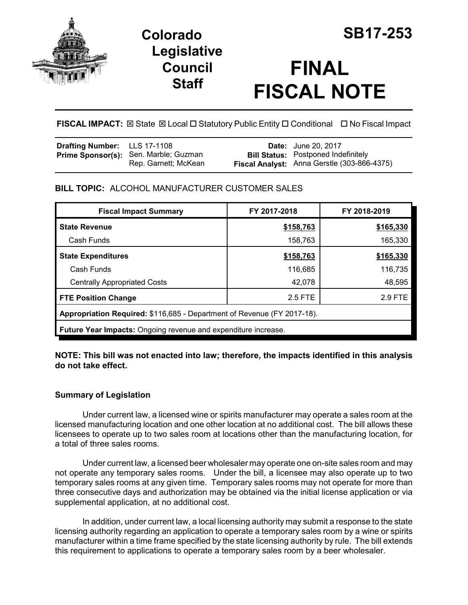

# **Colorado SB17-253 Legislative Council Staff**

# **FINAL FISCAL NOTE**

**FISCAL IMPACT:** ⊠ State ⊠ Local □ Statutory Public Entity □ Conditional □ No Fiscal Impact

| <b>Drafting Number:</b> LLS 17-1108 |                                                               | <b>Date:</b> June 20, 2017                                                                |
|-------------------------------------|---------------------------------------------------------------|-------------------------------------------------------------------------------------------|
|                                     | Prime Sponsor(s): Sen. Marble; Guzman<br>Rep. Garnett; McKean | <b>Bill Status:</b> Postponed Indefinitely<br>Fiscal Analyst: Anna Gerstle (303-866-4375) |

## **BILL TOPIC:** ALCOHOL MANUFACTURER CUSTOMER SALES

| <b>Fiscal Impact Summary</b>                                            | FY 2017-2018 | FY 2018-2019 |  |  |  |
|-------------------------------------------------------------------------|--------------|--------------|--|--|--|
| <b>State Revenue</b>                                                    | \$158,763    | \$165,330    |  |  |  |
| Cash Funds                                                              | 158,763      | 165,330      |  |  |  |
| <b>State Expenditures</b>                                               | \$158,763    | \$165,330    |  |  |  |
| Cash Funds                                                              | 116,685      | 116,735      |  |  |  |
| <b>Centrally Appropriated Costs</b>                                     | 42,078       | 48,595       |  |  |  |
| <b>FTE Position Change</b>                                              | 2.5 FTE      | 2.9 FTE      |  |  |  |
| Appropriation Required: \$116,685 - Department of Revenue (FY 2017-18). |              |              |  |  |  |
| <b>Future Year Impacts:</b> Ongoing revenue and expenditure increase.   |              |              |  |  |  |

**NOTE: This bill was not enacted into law; therefore, the impacts identified in this analysis do not take effect.**

### **Summary of Legislation**

Under current law, a licensed wine or spirits manufacturer may operate a sales room at the licensed manufacturing location and one other location at no additional cost. The bill allows these licensees to operate up to two sales room at locations other than the manufacturing location, for a total of three sales rooms.

Under current law, a licensed beer wholesaler may operate one on-site sales room and may not operate any temporary sales rooms. Under the bill, a licensee may also operate up to two temporary sales rooms at any given time. Temporary sales rooms may not operate for more than three consecutive days and authorization may be obtained via the initial license application or via supplemental application, at no additional cost.

In addition, under current law, a local licensing authority may submit a response to the state licensing authority regarding an application to operate a temporary sales room by a wine or spirits manufacturer within a time frame specified by the state licensing authority by rule. The bill extends this requirement to applications to operate a temporary sales room by a beer wholesaler.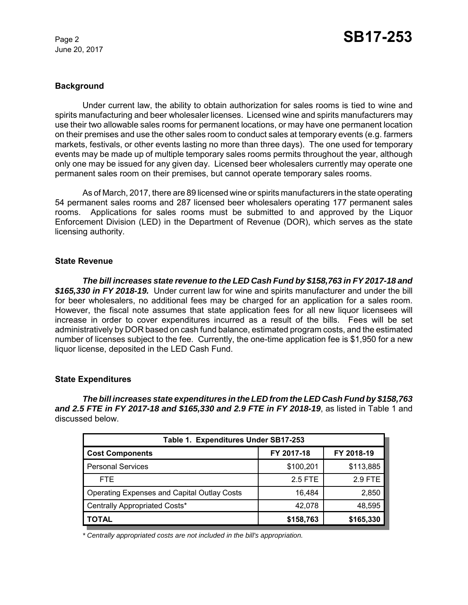June 20, 2017

#### **Background**

Under current law, the ability to obtain authorization for sales rooms is tied to wine and spirits manufacturing and beer wholesaler licenses. Licensed wine and spirits manufacturers may use their two allowable sales rooms for permanent locations, or may have one permanent location on their premises and use the other sales room to conduct sales at temporary events (e.g. farmers markets, festivals, or other events lasting no more than three days). The one used for temporary events may be made up of multiple temporary sales rooms permits throughout the year, although only one may be issued for any given day. Licensed beer wholesalers currently may operate one permanent sales room on their premises, but cannot operate temporary sales rooms.

As of March, 2017, there are 89 licensed wine or spirits manufacturers in the state operating 54 permanent sales rooms and 287 licensed beer wholesalers operating 177 permanent sales rooms. Applications for sales rooms must be submitted to and approved by the Liquor Enforcement Division (LED) in the Department of Revenue (DOR), which serves as the state licensing authority.

#### **State Revenue**

*The bill increases state revenue to the LED Cash Fund by \$158,763 in FY 2017-18 and \$165,330 in FY 2018-19.* Under current law for wine and spirits manufacturer and under the bill for beer wholesalers, no additional fees may be charged for an application for a sales room. However, the fiscal note assumes that state application fees for all new liquor licensees will increase in order to cover expenditures incurred as a result of the bills. Fees will be set administratively by DOR based on cash fund balance, estimated program costs, and the estimated number of licenses subject to the fee. Currently, the one-time application fee is \$1,950 for a new liquor license, deposited in the LED Cash Fund.

#### **State Expenditures**

*The bill increases state expenditures in the LED from the LED Cash Fund by \$158,763 and 2.5 FTE in FY 2017-18 and \$165,330 and 2.9 FTE in FY 2018-19*, as listed in Table 1 and discussed below.

| Table 1. Expenditures Under SB17-253               |            |                |  |  |  |  |
|----------------------------------------------------|------------|----------------|--|--|--|--|
| <b>Cost Components</b>                             | FY 2017-18 | FY 2018-19     |  |  |  |  |
| <b>Personal Services</b>                           | \$100,201  | \$113,885      |  |  |  |  |
| FTE.                                               | 2.5 FTE    | <b>2.9 FTE</b> |  |  |  |  |
| <b>Operating Expenses and Capital Outlay Costs</b> | 16,484     | 2,850          |  |  |  |  |
| Centrally Appropriated Costs*                      | 42,078     | 48,595         |  |  |  |  |
| <b>TOTAL</b>                                       | \$158,763  | \$165,330      |  |  |  |  |

*\* Centrally appropriated costs are not included in the bill's appropriation.*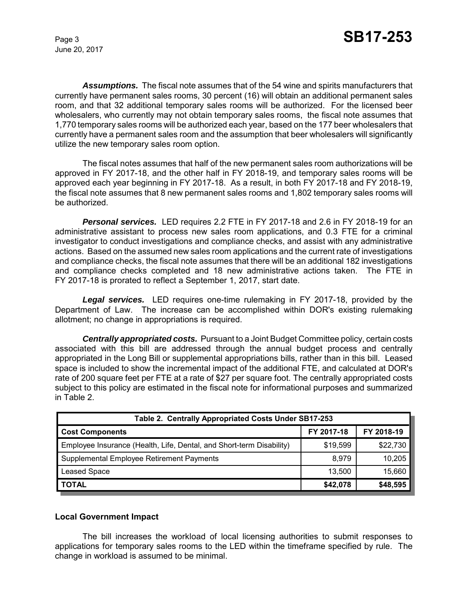June 20, 2017

*Assumptions.* The fiscal note assumes that of the 54 wine and spirits manufacturers that currently have permanent sales rooms, 30 percent (16) will obtain an additional permanent sales room, and that 32 additional temporary sales rooms will be authorized. For the licensed beer wholesalers, who currently may not obtain temporary sales rooms, the fiscal note assumes that 1,770 temporary sales rooms will be authorized each year, based on the 177 beer wholesalers that currently have a permanent sales room and the assumption that beer wholesalers will significantly utilize the new temporary sales room option.

The fiscal notes assumes that half of the new permanent sales room authorizations will be approved in FY 2017-18, and the other half in FY 2018-19, and temporary sales rooms will be approved each year beginning in FY 2017-18. As a result, in both FY 2017-18 and FY 2018-19, the fiscal note assumes that 8 new permanent sales rooms and 1,802 temporary sales rooms will be authorized.

*Personal services.* LED requires 2.2 FTE in FY 2017-18 and 2.6 in FY 2018-19 for an administrative assistant to process new sales room applications, and 0.3 FTE for a criminal investigator to conduct investigations and compliance checks, and assist with any administrative actions. Based on the assumed new sales room applications and the current rate of investigations and compliance checks, the fiscal note assumes that there will be an additional 182 investigations and compliance checks completed and 18 new administrative actions taken. The FTE in FY 2017-18 is prorated to reflect a September 1, 2017, start date.

*Legal services.* LED requires one-time rulemaking in FY 2017-18, provided by the Department of Law. The increase can be accomplished within DOR's existing rulemaking allotment; no change in appropriations is required.

*Centrally appropriated costs.* Pursuant to a Joint Budget Committee policy, certain costs associated with this bill are addressed through the annual budget process and centrally appropriated in the Long Bill or supplemental appropriations bills, rather than in this bill. Leased space is included to show the incremental impact of the additional FTE, and calculated at DOR's rate of 200 square feet per FTE at a rate of \$27 per square foot. The centrally appropriated costs subject to this policy are estimated in the fiscal note for informational purposes and summarized in Table 2.

| Table 2. Centrally Appropriated Costs Under SB17-253                 |            |            |  |  |  |
|----------------------------------------------------------------------|------------|------------|--|--|--|
| <b>Cost Components</b>                                               | FY 2017-18 | FY 2018-19 |  |  |  |
| Employee Insurance (Health, Life, Dental, and Short-term Disability) | \$19,599   | \$22,730   |  |  |  |
| Supplemental Employee Retirement Payments                            | 8,979      | 10,205     |  |  |  |
| Leased Space                                                         | 13.500     | 15,660     |  |  |  |
| <b>TOTAL</b>                                                         | \$42,078   | \$48,595   |  |  |  |

#### **Local Government Impact**

The bill increases the workload of local licensing authorities to submit responses to applications for temporary sales rooms to the LED within the timeframe specified by rule. The change in workload is assumed to be minimal.